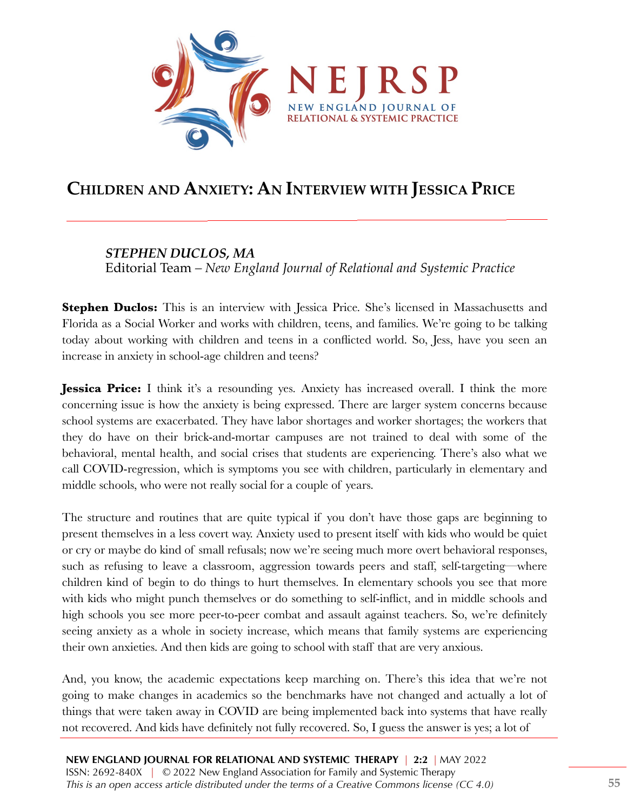

## **CHILDREN AND ANXIETY: AN INTERVIEW WITH JESSICA PRICE**

## *STEPHEN DUCLOS, MA*

Editorial Team *– New England Journal of Relational and Systemic Practice*

**Stephen Duclos:** This is an interview with Jessica Price. She's licensed in Massachusetts and Florida as a Social Worker and works with children, teens, and families. We're going to be talking today about working with children and teens in a conflicted world. So, Jess, have you seen an increase in anxiety in school-age children and teens?

**Jessica Price:** I think it's a resounding yes. Anxiety has increased overall. I think the more concerning issue is how the anxiety is being expressed. There are larger system concerns because school systems are exacerbated. They have labor shortages and worker shortages; the workers that they do have on their brick-and-mortar campuses are not trained to deal with some of the behavioral, mental health, and social crises that students are experiencing. There's also what we call COVID-regression, which is symptoms you see with children, particularly in elementary and middle schools, who were not really social for a couple of years.

The structure and routines that are quite typical if you don't have those gaps are beginning to present themselves in a less covert way. Anxiety used to present itself with kids who would be quiet or cry or maybe do kind of small refusals; now we're seeing much more overt behavioral responses, such as refusing to leave a classroom, aggression towards peers and staff, self-targeting—where children kind of begin to do things to hurt themselves. In elementary schools you see that more with kids who might punch themselves or do something to self-inflict, and in middle schools and high schools you see more peer-to-peer combat and assault against teachers. So, we're definitely seeing anxiety as a whole in society increase, which means that family systems are experiencing their own anxieties. And then kids are going to school with staff that are very anxious.

And, you know, the academic expectations keep marching on. There's this idea that we're not going to make changes in academics so the benchmarks have not changed and actually a lot of things that were taken away in COVID are being implemented back into systems that have really not recovered. And kids have definitely not fully recovered. So, I guess the answer is yes; a lot of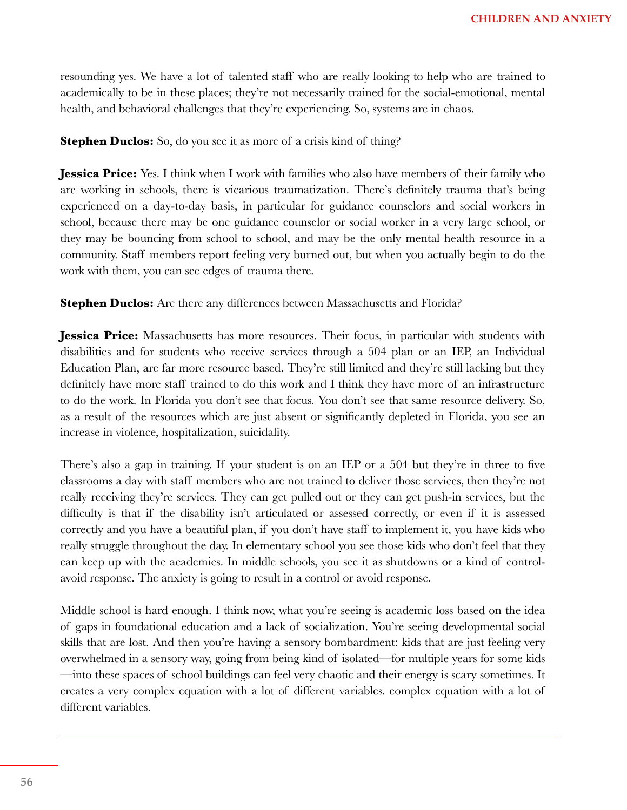resounding yes. We have a lot of talented staff who are really looking to help who are trained to academically to be in these places; they're not necessarily trained for the social-emotional, mental health, and behavioral challenges that they're experiencing. So, systems are in chaos.

**Stephen Duclos:** So, do you see it as more of a crisis kind of thing?

**Jessica Price:** Yes. I think when I work with families who also have members of their family who are working in schools, there is vicarious traumatization. There's definitely trauma that's being experienced on a day-to-day basis, in particular for guidance counselors and social workers in school, because there may be one guidance counselor or social worker in a very large school, or they may be bouncing from school to school, and may be the only mental health resource in a community. Staff members report feeling very burned out, but when you actually begin to do the work with them, you can see edges of trauma there.

**Stephen Duclos:** Are there any differences between Massachusetts and Florida?

**Jessica Price:** Massachusetts has more resources. Their focus, in particular with students with disabilities and for students who receive services through a 504 plan or an IEP, an Individual Education Plan, are far more resource based. They're still limited and they're still lacking but they definitely have more staff trained to do this work and I think they have more of an infrastructure to do the work. In Florida you don't see that focus. You don't see that same resource delivery. So, as a result of the resources which are just absent or significantly depleted in Florida, you see an increase in violence, hospitalization, suicidality.

There's also a gap in training. If your student is on an IEP or a 504 but they're in three to five classrooms a day with staff members who are not trained to deliver those services, then they're not really receiving they're services. They can get pulled out or they can get push-in services, but the difficulty is that if the disability isn't articulated or assessed correctly, or even if it is assessed correctly and you have a beautiful plan, if you don't have staff to implement it, you have kids who really struggle throughout the day. In elementary school you see those kids who don't feel that they can keep up with the academics. In middle schools, you see it as shutdowns or a kind of controlavoid response. The anxiety is going to result in a control or avoid response.

Middle school is hard enough. I think now, what you're seeing is academic loss based on the idea of gaps in foundational education and a lack of socialization. You're seeing developmental social skills that are lost. And then you're having a sensory bombardment: kids that are just feeling very overwhelmed in a sensory way, going from being kind of isolated—for multiple years for some kids —into these spaces of school buildings can feel very chaotic and their energy is scary sometimes. It creates a very complex equation with a lot of different variables. complex equation with a lot of different variables.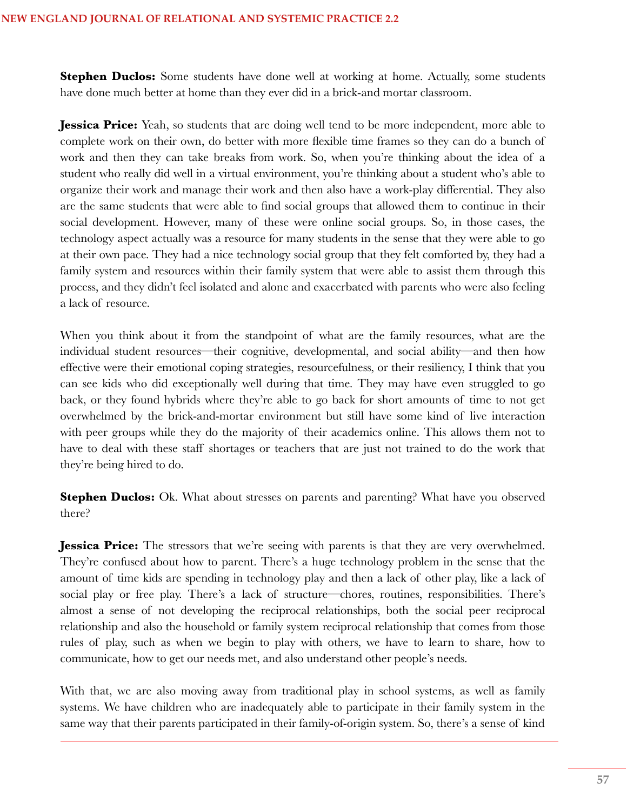**Stephen Duclos:** Some students have done well at working at home. Actually, some students have done much better at home than they ever did in a brick-and mortar classroom.

**Jessica Price:** Yeah, so students that are doing well tend to be more independent, more able to complete work on their own, do better with more flexible time frames so they can do a bunch of work and then they can take breaks from work. So, when you're thinking about the idea of a student who really did well in a virtual environment, you're thinking about a student who's able to organize their work and manage their work and then also have a work-play differential. They also are the same students that were able to find social groups that allowed them to continue in their social development. However, many of these were online social groups. So, in those cases, the technology aspect actually was a resource for many students in the sense that they were able to go at their own pace. They had a nice technology social group that they felt comforted by, they had a family system and resources within their family system that were able to assist them through this process, and they didn't feel isolated and alone and exacerbated with parents who were also feeling a lack of resource.

When you think about it from the standpoint of what are the family resources, what are the individual student resources—their cognitive, developmental, and social ability—and then how effective were their emotional coping strategies, resourcefulness, or their resiliency, I think that you can see kids who did exceptionally well during that time. They may have even struggled to go back, or they found hybrids where they're able to go back for short amounts of time to not get overwhelmed by the brick-and-mortar environment but still have some kind of live interaction with peer groups while they do the majority of their academics online. This allows them not to have to deal with these staff shortages or teachers that are just not trained to do the work that they're being hired to do.

**Stephen Duclos:** Ok. What about stresses on parents and parenting? What have you observed there?

**Jessica Price:** The stressors that we're seeing with parents is that they are very overwhelmed. They're confused about how to parent. There's a huge technology problem in the sense that the amount of time kids are spending in technology play and then a lack of other play, like a lack of social play or free play. There's a lack of structure—chores, routines, responsibilities. There's almost a sense of not developing the reciprocal relationships, both the social peer reciprocal relationship and also the household or family system reciprocal relationship that comes from those rules of play, such as when we begin to play with others, we have to learn to share, how to communicate, how to get our needs met, and also understand other people's needs.

With that, we are also moving away from traditional play in school systems, as well as family systems. We have children who are inadequately able to participate in their family system in the same way that their parents participated in their family-of-origin system. So, there's a sense of kind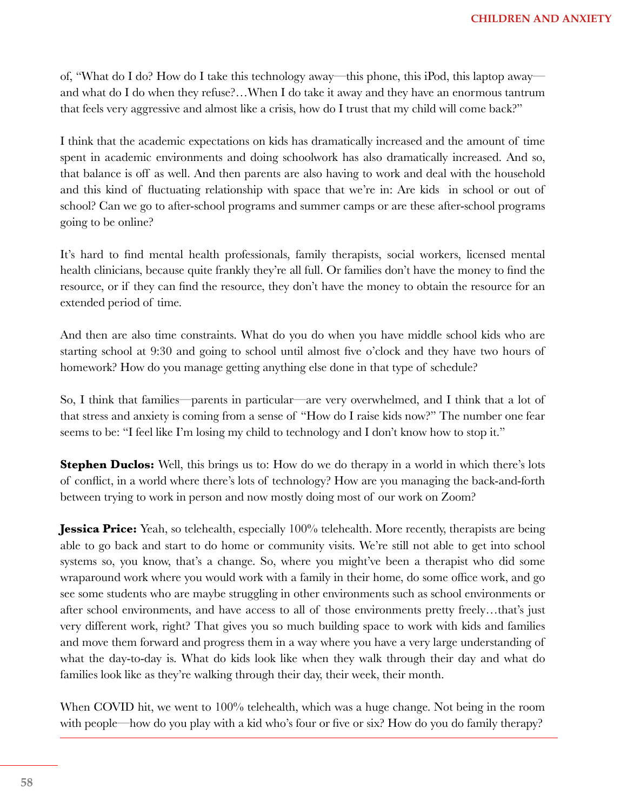of, "What do I do? How do I take this technology away—this phone, this iPod, this laptop away and what do I do when they refuse?…When I do take it away and they have an enormous tantrum that feels very aggressive and almost like a crisis, how do I trust that my child will come back?"

I think that the academic expectations on kids has dramatically increased and the amount of time spent in academic environments and doing schoolwork has also dramatically increased. And so, that balance is off as well. And then parents are also having to work and deal with the household and this kind of fluctuating relationship with space that we're in: Are kids in school or out of school? Can we go to after-school programs and summer camps or are these after-school programs going to be online?

It's hard to find mental health professionals, family therapists, social workers, licensed mental health clinicians, because quite frankly they're all full. Or families don't have the money to find the resource, or if they can find the resource, they don't have the money to obtain the resource for an extended period of time.

And then are also time constraints. What do you do when you have middle school kids who are starting school at 9:30 and going to school until almost five o'clock and they have two hours of homework? How do you manage getting anything else done in that type of schedule?

So, I think that families—parents in particular—are very overwhelmed, and I think that a lot of that stress and anxiety is coming from a sense of "How do I raise kids now?" The number one fear seems to be: "I feel like I'm losing my child to technology and I don't know how to stop it."

**Stephen Duclos:** Well, this brings us to: How do we do therapy in a world in which there's lots of conflict, in a world where there's lots of technology? How are you managing the back-and-forth between trying to work in person and now mostly doing most of our work on Zoom?

**Jessica Price:** Yeah, so telehealth, especially 100% telehealth. More recently, therapists are being able to go back and start to do home or community visits. We're still not able to get into school systems so, you know, that's a change. So, where you might've been a therapist who did some wraparound work where you would work with a family in their home, do some office work, and go see some students who are maybe struggling in other environments such as school environments or after school environments, and have access to all of those environments pretty freely…that's just very different work, right? That gives you so much building space to work with kids and families and move them forward and progress them in a way where you have a very large understanding of what the day-to-day is. What do kids look like when they walk through their day and what do families look like as they're walking through their day, their week, their month.

When COVID hit, we went to 100% telehealth, which was a huge change. Not being in the room with people—how do you play with a kid who's four or five or six? How do you do family therapy?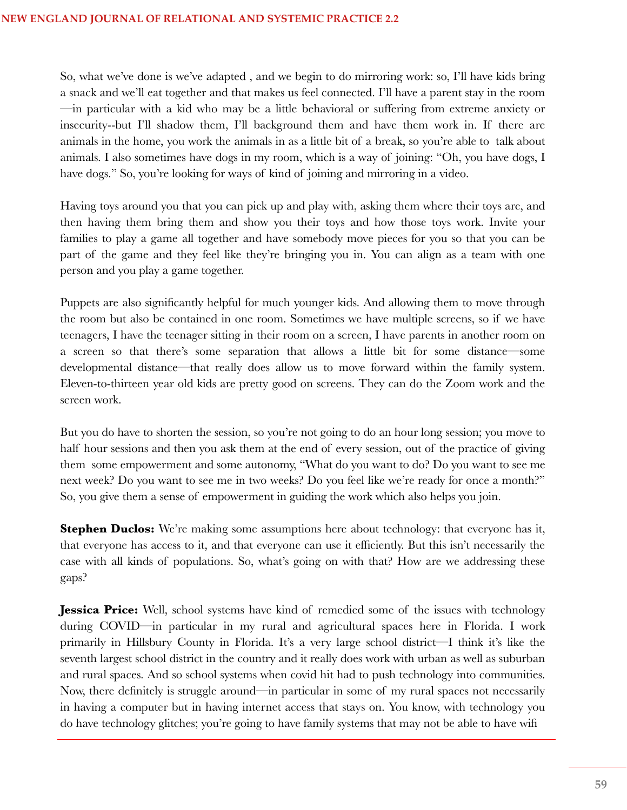So, what we've done is we've adapted , and we begin to do mirroring work: so, I'll have kids bring a snack and we'll eat together and that makes us feel connected. I'll have a parent stay in the room —in particular with a kid who may be a little behavioral or suffering from extreme anxiety or insecurity--but I'll shadow them, I'll background them and have them work in. If there are animals in the home, you work the animals in as a little bit of a break, so you're able to talk about animals. I also sometimes have dogs in my room, which is a way of joining: "Oh, you have dogs, I have dogs." So, you're looking for ways of kind of joining and mirroring in a video.

Having toys around you that you can pick up and play with, asking them where their toys are, and then having them bring them and show you their toys and how those toys work. Invite your families to play a game all together and have somebody move pieces for you so that you can be part of the game and they feel like they're bringing you in. You can align as a team with one person and you play a game together.

Puppets are also significantly helpful for much younger kids. And allowing them to move through the room but also be contained in one room. Sometimes we have multiple screens, so if we have teenagers, I have the teenager sitting in their room on a screen, I have parents in another room on a screen so that there's some separation that allows a little bit for some distance—some developmental distance—that really does allow us to move forward within the family system. Eleven-to-thirteen year old kids are pretty good on screens. They can do the Zoom work and the screen work.

But you do have to shorten the session, so you're not going to do an hour long session; you move to half hour sessions and then you ask them at the end of every session, out of the practice of giving them some empowerment and some autonomy, "What do you want to do? Do you want to see me next week? Do you want to see me in two weeks? Do you feel like we're ready for once a month?" So, you give them a sense of empowerment in guiding the work which also helps you join.

**Stephen Duclos:** We're making some assumptions here about technology: that everyone has it, that everyone has access to it, and that everyone can use it efficiently. But this isn't necessarily the case with all kinds of populations. So, what's going on with that? How are we addressing these gaps?

**Jessica Price:** Well, school systems have kind of remedied some of the issues with technology during COVID—in particular in my rural and agricultural spaces here in Florida. I work primarily in Hillsbury County in Florida. It's a very large school district—I think it's like the seventh largest school district in the country and it really does work with urban as well as suburban and rural spaces. And so school systems when covid hit had to push technology into communities. Now, there definitely is struggle around—in particular in some of my rural spaces not necessarily in having a computer but in having internet access that stays on. You know, with technology you do have technology glitches; you're going to have family systems that may not be able to have wifi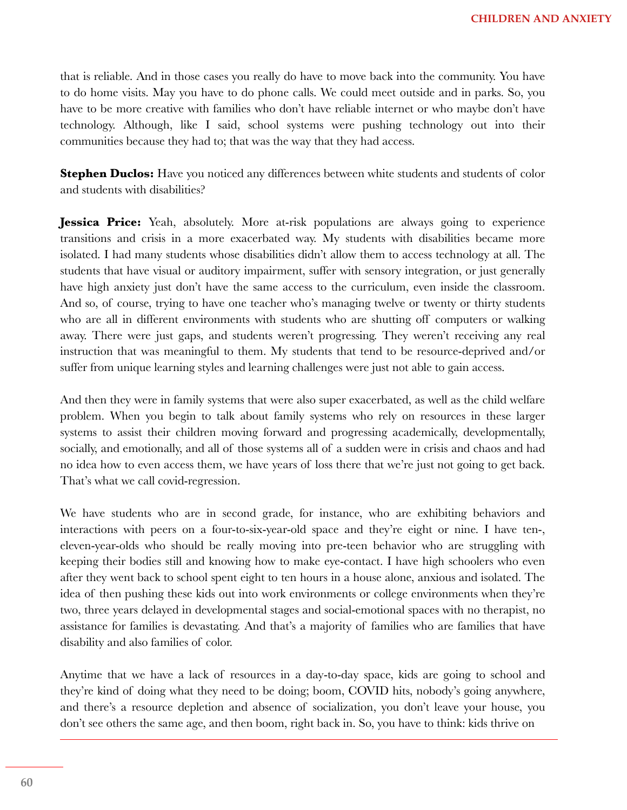that is reliable. And in those cases you really do have to move back into the community. You have to do home visits. May you have to do phone calls. We could meet outside and in parks. So, you have to be more creative with families who don't have reliable internet or who maybe don't have technology. Although, like I said, school systems were pushing technology out into their communities because they had to; that was the way that they had access.

**Stephen Duclos:** Have you noticed any differences between white students and students of color and students with disabilities?

**Jessica Price:** Yeah, absolutely. More at-risk populations are always going to experience transitions and crisis in a more exacerbated way. My students with disabilities became more isolated. I had many students whose disabilities didn't allow them to access technology at all. The students that have visual or auditory impairment, suffer with sensory integration, or just generally have high anxiety just don't have the same access to the curriculum, even inside the classroom. And so, of course, trying to have one teacher who's managing twelve or twenty or thirty students who are all in different environments with students who are shutting off computers or walking away. There were just gaps, and students weren't progressing. They weren't receiving any real instruction that was meaningful to them. My students that tend to be resource-deprived and/or suffer from unique learning styles and learning challenges were just not able to gain access.

And then they were in family systems that were also super exacerbated, as well as the child welfare problem. When you begin to talk about family systems who rely on resources in these larger systems to assist their children moving forward and progressing academically, developmentally, socially, and emotionally, and all of those systems all of a sudden were in crisis and chaos and had no idea how to even access them, we have years of loss there that we're just not going to get back. That's what we call covid-regression.

We have students who are in second grade, for instance, who are exhibiting behaviors and interactions with peers on a four-to-six-year-old space and they're eight or nine. I have ten-, eleven-year-olds who should be really moving into pre-teen behavior who are struggling with keeping their bodies still and knowing how to make eye-contact. I have high schoolers who even after they went back to school spent eight to ten hours in a house alone, anxious and isolated. The idea of then pushing these kids out into work environments or college environments when they're two, three years delayed in developmental stages and social-emotional spaces with no therapist, no assistance for families is devastating. And that's a majority of families who are families that have disability and also families of color.

Anytime that we have a lack of resources in a day-to-day space, kids are going to school and they're kind of doing what they need to be doing; boom, COVID hits, nobody's going anywhere, and there's a resource depletion and absence of socialization, you don't leave your house, you don't see others the same age, and then boom, right back in. So, you have to think: kids thrive on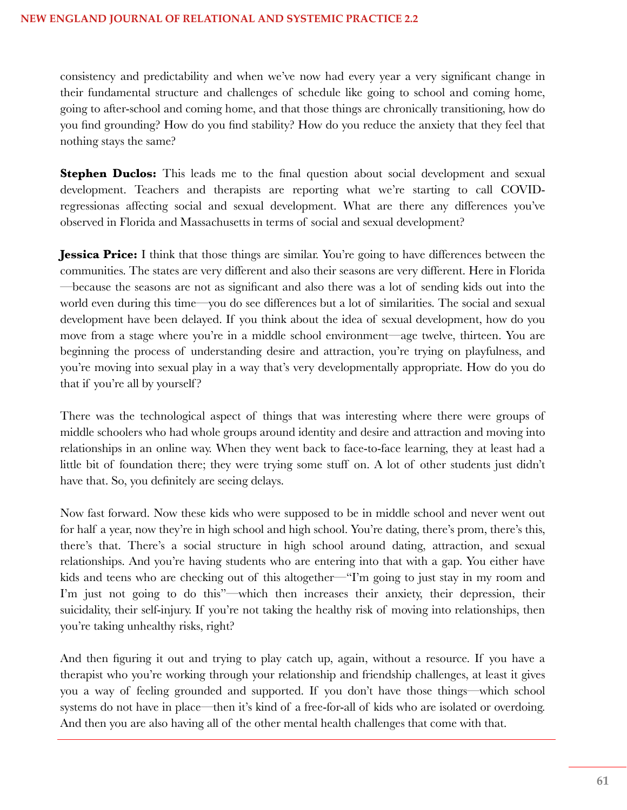consistency and predictability and when we've now had every year a very significant change in their fundamental structure and challenges of schedule like going to school and coming home, going to after-school and coming home, and that those things are chronically transitioning, how do you find grounding? How do you find stability? How do you reduce the anxiety that they feel that nothing stays the same?

**Stephen Duclos:** This leads me to the final question about social development and sexual development. Teachers and therapists are reporting what we're starting to call COVIDregressionas affecting social and sexual development. What are there any differences you've observed in Florida and Massachusetts in terms of social and sexual development?

**Jessica Price:** I think that those things are similar. You're going to have differences between the communities. The states are very different and also their seasons are very different. Here in Florida —because the seasons are not as significant and also there was a lot of sending kids out into the world even during this time—you do see differences but a lot of similarities. The social and sexual development have been delayed. If you think about the idea of sexual development, how do you move from a stage where you're in a middle school environment—age twelve, thirteen. You are beginning the process of understanding desire and attraction, you're trying on playfulness, and you're moving into sexual play in a way that's very developmentally appropriate. How do you do that if you're all by yourself?

There was the technological aspect of things that was interesting where there were groups of middle schoolers who had whole groups around identity and desire and attraction and moving into relationships in an online way. When they went back to face-to-face learning, they at least had a little bit of foundation there; they were trying some stuff on. A lot of other students just didn't have that. So, you definitely are seeing delays.

Now fast forward. Now these kids who were supposed to be in middle school and never went out for half a year, now they're in high school and high school. You're dating, there's prom, there's this, there's that. There's a social structure in high school around dating, attraction, and sexual relationships. And you're having students who are entering into that with a gap. You either have kids and teens who are checking out of this altogether—"I'm going to just stay in my room and I'm just not going to do this"—which then increases their anxiety, their depression, their suicidality, their self-injury. If you're not taking the healthy risk of moving into relationships, then you're taking unhealthy risks, right?

And then figuring it out and trying to play catch up, again, without a resource. If you have a therapist who you're working through your relationship and friendship challenges, at least it gives you a way of feeling grounded and supported. If you don't have those things—which school systems do not have in place—then it's kind of a free-for-all of kids who are isolated or overdoing. And then you are also having all of the other mental health challenges that come with that.